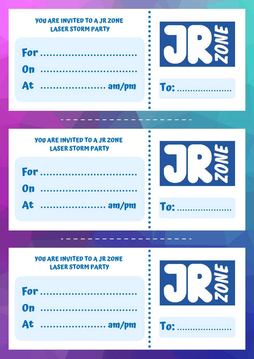

## **YOU ARE INVITED TO A JR ZONE LASER STORM PARTY**

| For       |
|-----------|
| 0n        |
| At  am/pm |



# **YOU ARE INVITED TO A JR ZONE LASER STORM PARTY**

| For       |  |  |  |  |  |  |  |  |
|-----------|--|--|--|--|--|--|--|--|
| 0n        |  |  |  |  |  |  |  |  |
| At  am/pm |  |  |  |  |  |  |  |  |



**To:**